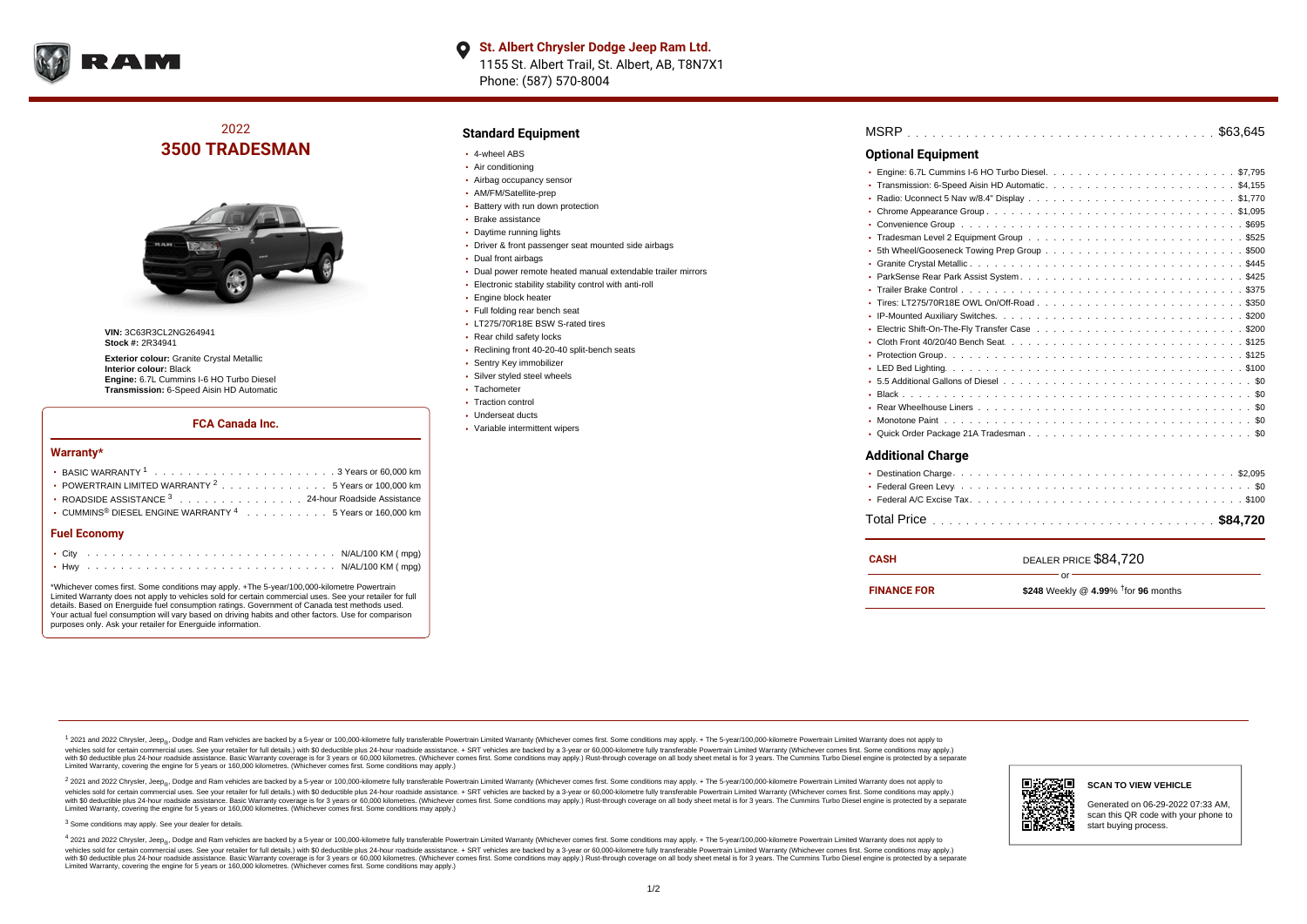

# 2022 **3500 TRADESMAN**



**VIN: 3C63R3CL2NG264941 Stock #:** 2R34941

**Exterior colour:** Granite Crystal Metallic **Interior colour:** Black **Engine:** 6.7L Cummins I-6 HO Turbo Diesel **Transmission:** 6-Speed Aisin HD Automatic

### **FCA Canada Inc.**

#### **Warranty\***

| • POWERTRAIN LIMITED WARRANTY <sup>2</sup> 5 Years or 100,000 km                                     |  |  |  |  |
|------------------------------------------------------------------------------------------------------|--|--|--|--|
| ROADSIDE ASSISTANCE 3 24-hour Roadside Assistance                                                    |  |  |  |  |
| $\cdot$ CUMMINS <sup>®</sup> DIESEL ENGINE WARRANTY $^4$ , , , , , , , , , , , 5 Years or 160.000 km |  |  |  |  |
|                                                                                                      |  |  |  |  |

#### **Fuel Economy**

\*Whichever comes first. Some conditions may apply. +The 5-year/100,000-kilometre Powertrain Limited Warranty does not apply to vehicles sold for certain commercial uses. See your retailer for full details. Based on Energuide fuel consumption ratings. Government of Canada test methods used. Your actual fuel consumption will vary based on driving habits and other factors. Use for comparison purposes only. Ask your retailer for Energuide information.

### **Standard Equipment**

- 4-wheel ABS
- Air conditioning
- Airbag occupancy sensor
- AM/FM/Satellite-prep
- Battery with run down protection
- Brake assistance
- Daytime running lights
- Driver & front passenger seat mounted side airbags
- Dual front airbags
- Dual power remote heated manual extendable trailer mirrors
- Electronic stability stability control with anti-roll
- Engine block heater
- Full folding rear bench seat
- **LT275/70R18E BSW S-rated tires**
- Rear child safety locks
- Reclining front 40-20-40 split-bench seats
- Sentry Key immobilizer
- Silver styled steel wheels
- Tachometer
- Traction control
- Underseat ducts
- Variable intermittent wipers

| <b>Optional Equipment</b>   |
|-----------------------------|
| ٠                           |
|                             |
| ۰                           |
|                             |
|                             |
|                             |
|                             |
| ٠                           |
|                             |
|                             |
|                             |
|                             |
|                             |
|                             |
| ۰                           |
|                             |
|                             |
|                             |
|                             |
|                             |
|                             |
| <b>Additional Charge</b>    |
| $\sim$ $\sim$ $\sim$ $\sim$ |

| . |  |  |  |  |  |  |  |  |  |  |  |  |  |  |  |  |  |  |  |
|---|--|--|--|--|--|--|--|--|--|--|--|--|--|--|--|--|--|--|--|
|   |  |  |  |  |  |  |  |  |  |  |  |  |  |  |  |  |  |  |  |
|   |  |  |  |  |  |  |  |  |  |  |  |  |  |  |  |  |  |  |  |

| CASH               | DEALER PRICE \$84,720                                     |
|--------------------|-----------------------------------------------------------|
| <b>FINANCE FOR</b> | '∩r "<br>\$248 Weekly @ 4.99% $\frac{1}{1}$ for 96 months |

<sup>1</sup> 2021 and 2022 Chrysler, Jeep<sub>®</sub>, Dodge and Ram vehicles are backed by a 5-year or 100,000-kilometre fully transferable Powertrain Limited Warranty (Whichever comes first. Some conditions may apply. + The 5-year/100,000 vehides sold for certain commercial uses. See your retailer for full details.) with \$0 deductible plus 24-hour roadside assistance. + SRT vehicles are backed by a 3-years or 50,000 kilometres. (Whichever comes first. Some Limited Warranty, covering the engine for 5 years or 160,000 kilometres. (Whichever comes first. Some conditions may apply.)

2 2021 and 2022 Chrysler, Jeep<sub>®</sub>, Dodge and Ram vehicles are backed by a 5-year or 100,000-kilometre fully transferable Powertrain Limited Warranty (Whichever comes first. Some conditions may apply. + The 5-year/100,000-k vehicles sold for certain commercial uses. See your retailer for full details.) with SO deductible plus 24-hour roadside assistance. + SRT vehicles are backed by a 3-year or 60.000-kilometre fully transferable Powertrain. vando concerned a mandato control and the mandato concerned a mandato concerned a mandato concerned a mandato concerned a mandato concerned a mandato concerned as concerned as a subsequent of the concerned as a subsequent Limited Warranty, covering the engine for 5 years or 160,000 kilometres. (Whichever comes first. Some conditions may apply.)

<sup>3</sup> Some conditions may apply. See your dealer for details.

4 2021 and 2022 Chrysler, Jeep<sub>®</sub>, Dodge and Ram vehicles are backed by a 5-year or 100,000-kilometre fully transferable Powertrain Limited Warranty (Whichever comes first. Some conditions may apply. + The 5-year/100,000-k vehicles sold for certain commercial uses. See your retailer for full details.) with \$0 deductible plus 24-hour roadside assistance. + SRT vehicles are backed by a 3-year or 60,000-kilometre fully transferable Powertrain L with \$0 deductible plus 24-hour roadside assistance. Basic Warranty coverage is for 3 years or 60,000 kilometres. (Whichever comes first. Some conditions may apply.) Rust-through coverage on all body sheet metal is for 3 y Limited Warranty, covering the engine for 5 years or 160,000 kilometres. (Whichever comes first. Some conditions may apply.)



Generated on 06-29-2022 07:33 AM, scan this QR code with your phone to start buying process.